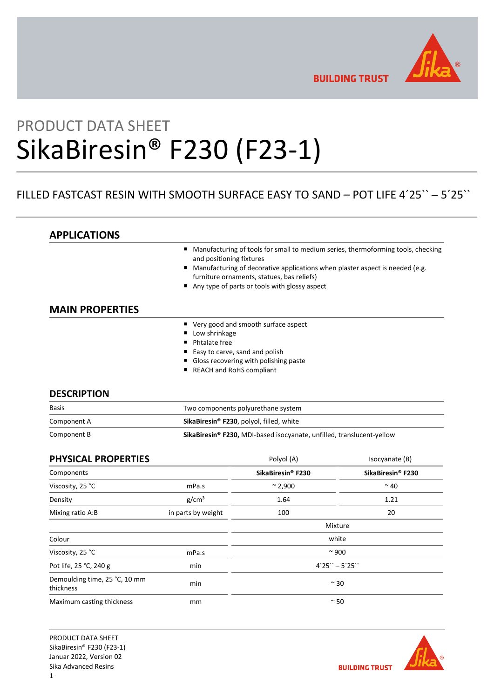

**BUILDING TRUST** 

# PRODUCT DATA SHEET SikaBiresin® F230 (F23-1)

# FILLED FASTCAST RESIN WITH SMOOTH SURFACE EASY TO SAND – POT LIFE 4´25`` ─ 5´25``

APPLICATIONS

- Manufacturing of tools for small to medium series, thermoforming tools, checking and positioning fixtures
- Manufacturing of decorative applications when plaster aspect is needed (e.g. furniture ornaments, statues, bas reliefs)
- Any type of parts or tools with glossy aspect

# MAIN PROPERTIES

- Very good and smooth surface aspect
- **Low shrinkage**
- **Phtalate free**
- Easy to carve, sand and polish
- Gloss recovering with polishing paste
- REACH and RoHS compliant

## **DESCRIPTION**

| <b>Basis</b> | Two components polyurethane system                                    |
|--------------|-----------------------------------------------------------------------|
| Component A  | SikaBiresin <sup>®</sup> F230, polyol, filled, white                  |
| Component B  | SikaBiresin® F230, MDI-based isocyanate, unfilled, translucent-yellow |

| <b>PHYSICAL PROPERTIES</b>                 |                    | Polyol (A)        | Isocyanate (B)    |
|--------------------------------------------|--------------------|-------------------|-------------------|
| Components                                 |                    | SikaBiresin® F230 | SikaBiresin® F230 |
| Viscosity, 25 °C                           | mPa.s              | $~^{\sim}$ 2,900  | $~^{\sim}$ 40     |
| Density                                    | g/cm <sup>3</sup>  | 1.64              | 1.21              |
| Mixing ratio A:B                           | in parts by weight | 100               | 20                |
|                                            |                    |                   | Mixture           |
| Colour                                     |                    |                   | white             |
| Viscosity, 25 °C                           | mPa.s              | $~\sim$ 900       |                   |
| Pot life, 25 °C, 240 g                     | min                | $4'25'' - 5'25''$ |                   |
| Demoulding time, 25 °C, 10 mm<br>thickness | min                |                   | $~\sim$ 30        |
| Maximum casting thickness                  | mm                 |                   | $~\sim$ 50        |

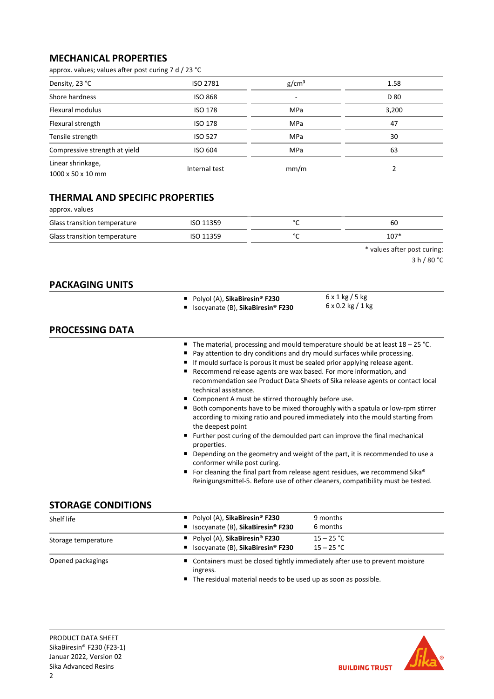# MECHANICAL PROPERTIES

approx. values; values after post curing 7 d / 23 °C

| Density, 23 °C                | ISO 2781       | g/cm <sup>3</sup> | 1.58  |
|-------------------------------|----------------|-------------------|-------|
| Shore hardness                | <b>ISO 868</b> | -                 | D 80  |
| Flexural modulus              | ISO 178        | MPa               | 3,200 |
| Flexural strength             | <b>ISO 178</b> | <b>MPa</b>        | 47    |
| Tensile strength              | <b>ISO 527</b> | MPa               | 30    |
| Compressive strength at yield | ISO 604        | MPa               | 63    |
| Linear shrinkage,             | Internal test  | mm/m              |       |
| 1000 x 50 x 10 mm             |                |                   |       |

# THERMAL AND SPECIFIC PROPERTIES

| approx. values               |           |        |        |
|------------------------------|-----------|--------|--------|
| Glass transition temperature | ISO 11359 | $\sim$ | 60     |
| Glass transition temperature | ISO 11359 | ∘∼     | $107*$ |
|                              |           |        | .      |

\* values after post curing:

| 3 h / 80 °C |  |  |
|-------------|--|--|
|-------------|--|--|

| <b>PACKAGING UNITS</b> |                                                                                                                                                                                                                                                                                                                                                                                  |                                                                                                                                                                                                                                                                                                                                                                                                                                                                                                                                                                                                                                                                                    |
|------------------------|----------------------------------------------------------------------------------------------------------------------------------------------------------------------------------------------------------------------------------------------------------------------------------------------------------------------------------------------------------------------------------|------------------------------------------------------------------------------------------------------------------------------------------------------------------------------------------------------------------------------------------------------------------------------------------------------------------------------------------------------------------------------------------------------------------------------------------------------------------------------------------------------------------------------------------------------------------------------------------------------------------------------------------------------------------------------------|
|                        | ■ Polyol (A), SikaBiresin® F230<br>Isocyanate (B), SikaBiresin <sup>®</sup> F230                                                                                                                                                                                                                                                                                                 | $6 \times 1$ kg / 5 kg<br>$6 \times 0.2$ kg / 1 kg                                                                                                                                                                                                                                                                                                                                                                                                                                                                                                                                                                                                                                 |
| <b>PROCESSING DATA</b> |                                                                                                                                                                                                                                                                                                                                                                                  |                                                                                                                                                                                                                                                                                                                                                                                                                                                                                                                                                                                                                                                                                    |
|                        | Pay attention to dry conditions and dry mould surfaces while processing.<br>If mould surface is porous it must be sealed prior applying release agent.<br>Recommend release agents are wax based. For more information, and<br>technical assistance.<br>■ Component A must be stirred thoroughly before use.<br>the deepest point<br>properties.<br>conformer while post curing. | $\blacksquare$ The material, processing and mould temperature should be at least $18 - 25$ °C.<br>recommendation see Product Data Sheets of Sika release agents or contact local<br>Both components have to be mixed thoroughly with a spatula or low-rpm stirrer<br>according to mixing ratio and poured immediately into the mould starting from<br>Further post curing of the demoulded part can improve the final mechanical<br>Depending on the geometry and weight of the part, it is recommended to use a<br>For cleaning the final part from release agent residues, we recommend Sika®<br>Reinigungsmittel-5. Before use of other cleaners, compatibility must be tested. |

# STORAGE CONDITIONS

| Shelf life          | Polyol (A), SikaBiresin <sup>®</sup> F230<br>9 months<br>■ Isocyanate (B), SikaBiresin® F230<br>6 months                     |                                                                               |  |
|---------------------|------------------------------------------------------------------------------------------------------------------------------|-------------------------------------------------------------------------------|--|
| Storage temperature | Polyol (A), SikaBiresin <sup>®</sup> F230<br>$15 - 25 °C$<br>$15 - 25 °C$<br>■ Isocyanate (B), SikaBiresin <sup>®</sup> F230 |                                                                               |  |
| Opened packagings   | ingress.<br>The residual material needs to be used up as soon as possible                                                    | ■ Containers must be closed tightly immediately after use to prevent moisture |  |

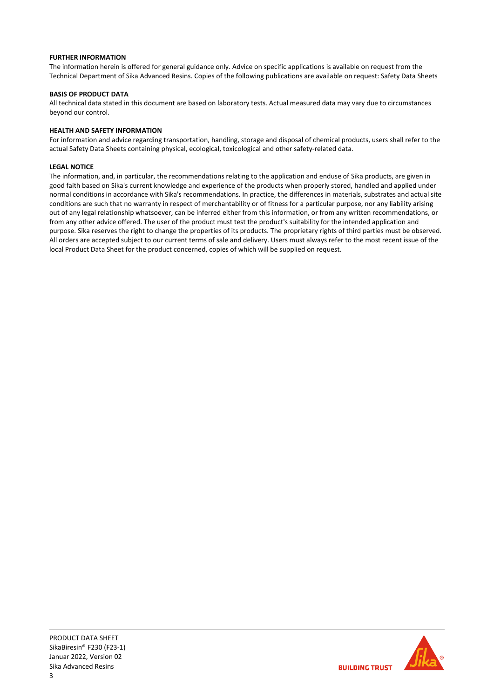## FURTHER INFORMATION

The information herein is offered for general guidance only. Advice on specific applications is available on request from the Technical Department of Sika Advanced Resins. Copies of the following publications are available on request: Safety Data Sheets

## BASIS OF PRODUCT DATA

All technical data stated in this document are based on laboratory tests. Actual measured data may vary due to circumstances beyond our control.

## HEALTH AND SAFETY INFORMATION

For information and advice regarding transportation, handling, storage and disposal of chemical products, users shall refer to the actual Safety Data Sheets containing physical, ecological, toxicological and other safety-related data.

## LEGAL NOTICE

The information, and, in particular, the recommendations relating to the application and enduse of Sika products, are given in good faith based on Sika's current knowledge and experience of the products when properly stored, handled and applied under normal conditions in accordance with Sika's recommendations. In practice, the differences in materials, substrates and actual site conditions are such that no warranty in respect of merchantability or of fitness for a particular purpose, nor any liability arising out of any legal relationship whatsoever, can be inferred either from this information, or from any written recommendations, or from any other advice offered. The user of the product must test the product's suitability for the intended application and purpose. Sika reserves the right to change the properties of its products. The proprietary rights of third parties must be observed. All orders are accepted subject to our current terms of sale and delivery. Users must always refer to the most recent issue of the local Product Data Sheet for the product concerned, copies of which will be supplied on request.